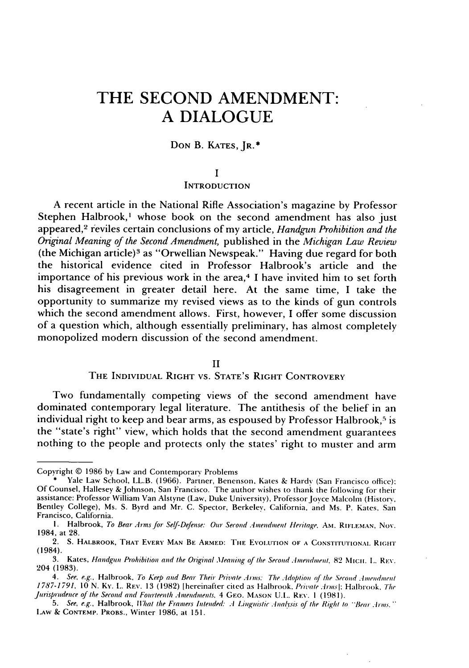# **THE SECOND AMENDMENT: A DIALOGUE**

## **DON** B. **KATES, JR.\***

#### **I**

#### **INTRODUCTION**

**A** recent article in the National Rifle Association's magazine **by** Professor Stephen Halbrook,' whose book on the second amendment has also just appeared, 2 reviles certain conclusions of **my** article, *Handgun Prohibition and the Original Meaning of the Second Amendment,* published in the *Michigan Law Review* (the Michigan article) 3 as "Orwellian Newspeak." Having due regard for both the historical evidence cited in Professor Halbrook's article and the importance of his previous work in the area,4 **I** have invited him to set forth his disagreement in greater detail here. At the same time, **I** take the opportunity to summarize my revised views as to the kinds of gun controls which the second amendment allows. First, however, **I** offer some discussion of a question which, although essentially preliminary, has almost completely monopolized modern discussion of the second amendment.

## II

# THE INDIVIDUAL RIGHT VS. STATE'S RIGHT CONTROVERY

Two fundamentally competing views of the second amendment have dominated contemporary legal literature. The antithesis of the belief in an individual right to keep and bear arms, as espoused by Professor Halbrook,<sup>5</sup> is the "state's right" view, which holds that the second amendment guarantees nothing to the people and protects only the states' right to muster and arm

Copyright © 1986 by Law and Contemporary Problems

**<sup>\*</sup>** Yale Law School, LL.B. (1966). Partner, Benenson, Kates & Hardv (San Francisco office): Of Counsel, Hallesey &Johnson, San Francisco. The author wishes to thank the following for their assistance: Professor William Van Alstyne (Law, Duke University), Professor Jovce Malcolm (History, Bentley College), Ms. S. Byrd and Mr. C. Spector, Berkeley, California, and Ms. P. Kates, San Francisco, California.

**i.** Halbrook, *To* Bear *Arms for* Self-Defense: Our *Second Amendment Heritage.* Am. RIFLEMAN, Nov. 1984, at 28.

<sup>2.</sup> **S. HALBROOK,** THAT **EVERY MAN BE ARMED: THE** EVOLUTION **OF A** CONSTITUTIONAl. **RI(;HT** (1984).

<sup>3.</sup> Kates, Handgun Prohibition and the Original Meaning of the Second Amendment. 82 MICH. L. REV. 204 (1983).

<sup>4.</sup> See, e.g., Halbrook, To Keep and Bear Their *Private* Aims: The *.-doption of* the Second *.Iimendment* 1787-1791, 10 N. Kv. L. REV. 13 (1982) [hereinafter cited as Halbrook, *Private .4rms*]; Halbrook, The *Jurisprudence* of the Second and Fourteenth Amendments. 4 **GEO. MASON** UI.. REV. I (1981).

<sup>5.</sup> See, e.g., Halbrook, *What the Framers Intended: A Linguistic Analysis of the Right to "Bear Arms.*" LAw & **CONTEMP.** PROBS., Winter 1986, at 151.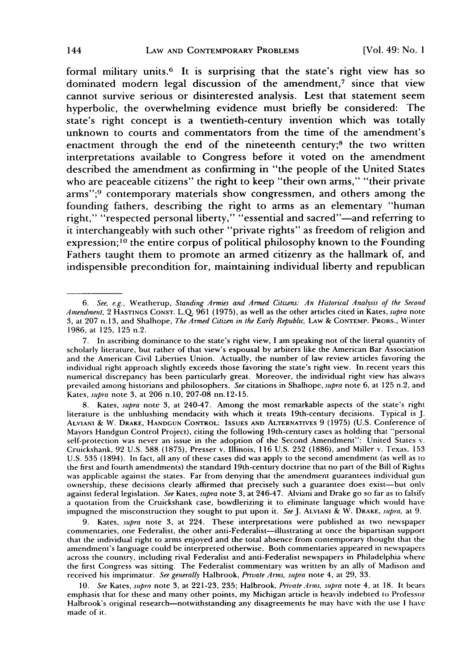formal military units.<sup>6</sup> It is surprising that the state's right view has so dominated modern legal discussion of the amendment, $\bar{z}$  since that view cannot survive serious or disinterested analysis. Lest that statement seem hyperbolic, the overwhelming evidence must briefly be considered: The state's right concept is a twentieth-century invention which was totally unknown to courts and commentators from the time of the amendment's enactment through the end of the nineteenth century;<sup>8</sup> the two written interpretations available to Congress before it voted on the amendment described the amendment as confirming in "the people of the United States who are peaceable citizens" the right to keep "their own arms," "their private arms";<sup>9</sup> contemporary materials show congressmen, and others among the founding fathers, describing the right to arms as an elementary "human right," "respected personal liberty," "essential and sacred"-and referring to it interchangeably with such other "private rights" as freedom of religion and expression;10 the entire corpus of political philosophy known to the Founding Fathers taught them to promote an armed citizenry as the hallmark of, and indispensible precondition for, maintaining individual liberty and republican

*<sup>6.</sup> See, e.g.,* Weatherup, *Standing Armies and Armed Citizens: An Historical Analysis of the Second Amendment,* 2 HASTINGS CONST. L.Q. 961 (1975), as well as the other articles cited in Kates, *supra* note 3, at 207 n. 13, and Shalhope, *The Armed Citizen in the Early Republic,* LAW & CONTEMP. PROBS., Winter 1986, at 125, 125 n.2.

<sup>7.</sup> In ascribing dominance to the state's right view, I am speaking not of the literal quantity of scholarly literature, but rather of that view's espousal by arbiters like the American Bar Association and the American Civil Liberties Union. Actually, the number of law review articles favoring the individual right approach slightly exceeds those favoring the state's right view. In recent years this numerical discrepancy has been particularly great. Moreover, the individual right view has always prevailed among historians and philosophers. *See* citations in Shalhope, *supra* note 6, at 125 n.2, and Kates, *supra* note 3, at 206 n.10, 207-08 nn.12-15.

<sup>8.</sup> Kates, *supra* note 3, at 240-47. Among the most remarkable aspects of the state's right literature is the unblushing mendacity with which it treats 19th-century decisions. Typical is J. ALVIANI **&** W. DRAKE, HANDGUN CONTROL: IssuEs AND ALTERNATIVES 9 **(1975)** (U.S. Conference of Mayors Handgun Control Project), citing the following 19th-century cases as holding that "personal self-protection was never an issue in the adoption of the Second Amendment": United States v. Cruickshank, 92 U.S. **588** (1875), Presser v. Illinois, 116 U.S. 252 (1886), and Miller v. Texas, 153 U.S. **535** (1894). In fact, all any of these cases did was apply to the second amendment (as well as to the first and fourth amendments) the standard 19th-century doctrine that no part of the Bill of Rights was applicable against the states. Far from denying that the amendment guarantees individual gun ownership, these decisions clearly affirmed that precisely such a guarantee does exist-but only against federal legislation. *See* Kates, *supra* note 3, at 246-47. Alviani and Drake go so far as to falsify a quotation from the Cruickshank case, bowdlerizing it to eliminate language which would have impugned the misconstruction they sought to put upon it. *SeeJ.* ALVIANI **&** W. DRAKE, *supra,* at 9.

<sup>9.</sup> Kates, *supra* note 3, at 224. These interpretations were published as two newspaper commentaries, one Federalist, the other anti-Federalist-illustrating at once the bipartisan support that the individual right to arms enjoyed and the total absence from contemporary thought that the amendment's language could be interpreted otherwise. Both commentaries appeared in newspapers across the country, including rival Federalist and anti-Federalist newspapers in Philadelphia where the first Congress was sitting. The Federalist commentary was written by an ally of Madison and received his imprimatur. *See generally* Halbrook, *Private Arms, supra* note 4, at 29, 33.

<sup>10.</sup> *See* Kates, *supra* note 3, at 221-23, 235; Halbrook, *Private .rms, supra* note 4, at 18. It bears emphasis that for these and many other points, my Michigan article is heavily indebted to Professor Halbrook's original research-notwithstanding any disagreements he may have with the use **I** have made of it.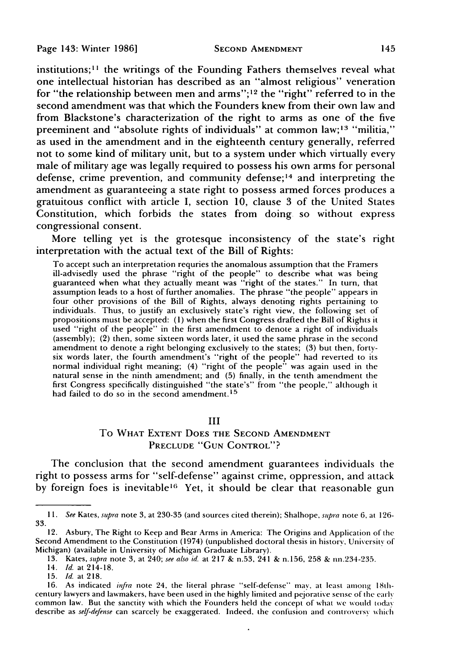institutions;<sup>11</sup> the writings of the Founding Fathers themselves reveal what one intellectual historian has described as an "almost religious" veneration for "the relationship between men and arms";<sup>12</sup> the "right" referred to in the second amendment was that which the Founders knew from their own law and from Blackstone's characterization of the right to arms as one of the five preeminent and "absolute rights of individuals" at common law;<sup>13</sup> "militia," as used in the amendment and in the eighteenth century generally, referred not to some kind of military unit, but to a system under which virtually every male of military age was legally required to possess his own arms for personal defense, crime prevention, and community defense; 14 and interpreting the amendment as guaranteeing a state right to possess armed forces produces a gratuitous conflict with article I, section 10, clause 3 of the United States Constitution, which forbids the states from doing so without express congressional consent.

More telling yet is the grotesque inconsistency of the state's right interpretation with the actual text of the Bill of Rights:

To accept such an interpretation requries the anomalous assumption that the Framers ill-advisedly used the phrase "right of the people" to describe what was being guaranteed when what they actually meant was "right of the states." In turn, that assumption leads to a host of further anomalies. The phrase "the people" appears in four other provisions of the Bill of Rights, always denoting rights pertaining to individuals. Thus, to justify an exclusively state's right view, the following set of propositions must be accepted: (1) when the first Congress drafted the Bill of Rights it used "right of the people" in the first amendment to denote a right of individuals (assembly); (2) then, some sixteen words later, it used the same phrase in the second amendment to denote a right belonging exclusively to the states; (3) but then, fortysix words later, the fourth amendment's "right of the people" had reverted to its normal individual right meaning; (4) "right of the people" was again used in the natural sense in the ninth amendment; and (5) finally, in the tenth amendment the first Congress specifically distinguished "the state's" from "the people," although it had failed to do so in the second amendment.<sup>15</sup>

# III

# To WHAT EXTENT DOES **THE SECOND AMENDMENT PRECLUDE "GUN** CONTROL"?

The conclusion that the second amendment guarantees individuals the right to possess arms for "self-defense" against crime, oppression, and attack by foreign foes is inevitable<sup>16</sup> Yet, it should be clear that reasonable gun

*<sup>1</sup>I.* See Kates, supra note 3, at 230-35 (and sources cited therein); Shalhope, *supra* note 6, at 126- **33.**

<sup>12.</sup> Asbury, The Right to Keep and Bear Arms in America: The Origins and Application of the Second Amendment to the Constitution (1974) (unpublished doctoral thesis in history, University of Michigan) (available in University of Michigan Graduate Library).

<sup>13.</sup> Kates, supra note 3, at 240; see also id. at **217** & n.53, 241 & n.156, 258 & nn.234-235.

<sup>14.</sup> Id. at 214-18.

<sup>15.</sup> Id. at 218.

<sup>16.</sup> As indicated imfra note 24, the literal phrase "self-defense" may, at least among 18thcentury lawyers and lawmakers, have been used in the highly limited and pejorative sense of the early common law. But the sanctity with which the Founders held the concept of what we would today describe as self-defense can scarcely be exaggerated. Indeed, the confusion and controversy which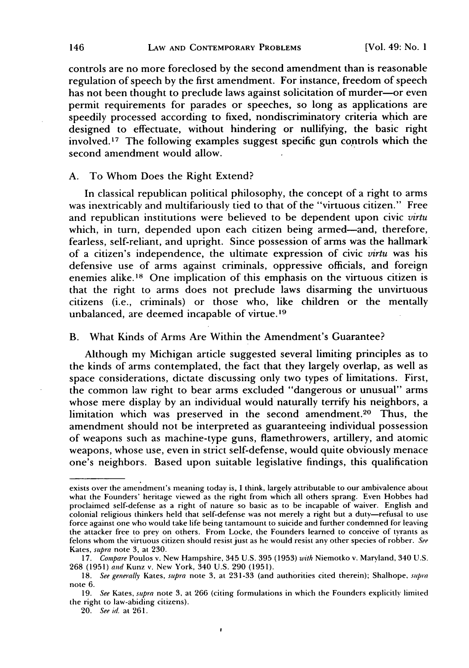controls are no more foreclosed by the second amendment than is reasonable regulation of speech by the first amendment. For instance, freedom of speech has not been thought to preclude laws against solicitation of murder-or even permit requirements for parades or speeches, so long as applications are speedily processed according to fixed, nondiscriminatory criteria which are designed to effectuate, without hindering or nullifying, the basic right involved. **1 <sup>7</sup>**The following examples suggest specific gun controls which the second amendment would allow.

## A. To Whom Does the Right Extend?

In classical republican political philosophy, the concept of a right to arms was inextricably and multifariously tied to that of the "virtuous citizen." Free and republican institutions were believed to be dependent upon civic *virtu* which, in turn, depended upon each citizen being armed-and, therefore, fearless, self-reliant, and upright. Since possession of arms was the hallmark of a citizen's independence, the ultimate expression of civic *virtu* was his defensive use of arms against criminals, oppressive officials, and foreign enemies alike.<sup>18</sup> One implication of this emphasis on the virtuous citizen is that the right to arms does not preclude laws disarming the unvirtuous citizens (i.e., criminals) or those who, like children or the mentally unbalanced, are deemed incapable of virtue.19

B. What Kinds of Arms Are Within the Amendment's Guarantee?

Although my Michigan article suggested several limiting principles as to the kinds of arms contemplated, the fact that they largely overlap, as well as space considerations, dictate discussing only two types of limitations. First, the common law right to bear arms excluded "dangerous or unusual" arms whose mere display by an individual would naturally terrify his neighbors, a limitation which was preserved in the second amendment.20 Thus, the amendment should not be interpreted as guaranteeing individual possession of weapons such as machine-type guns, flamethrowers, artillery, and atomic weapons, whose use, even in strict self-defense, would quite obviously menace one's neighbors. Based upon suitable legislative findings, this qualification

 $\cdot$ 

exists over the amendment's meaning today is, I think, largely attributable to our ambivalence about what the Founders' heritage viewed as the right from which all others sprang. Even Hobbes had proclaimed self-defense as a right of nature so basic as to be incapable of waiver. English and colonial religious thinkers held that self-defense was not merely a right but a duty-refusal to use force against one who would take life being tantamount to suicide and further condemned for leaving the attacker free to prey on others. From Locke, the Founders learned to conceive of tyrants as felons whom the virtuous citizen should resist just as he would resist any other species of robber. See Kates, supra note **3,** at 230.

*<sup>17.</sup>* Compare Poulos v. New Hampshire, 345 U.S. 395 (1953) with Niemotko v. Maryland, 340 **U.S.** 268 (1951) and Kunz v. New York, 340 U.S. 290 (1951).

<sup>18.</sup> See generally Kates, supra note 3, at 231-33 (and authorities cited therein); Shalhope, supra note 6.

**<sup>19.</sup>** See Kates, supra note **3,** at **266** (citing formulations in which the Founders explicitly limited the right to law-abiding citizens).

<sup>20.</sup> See id. at 261.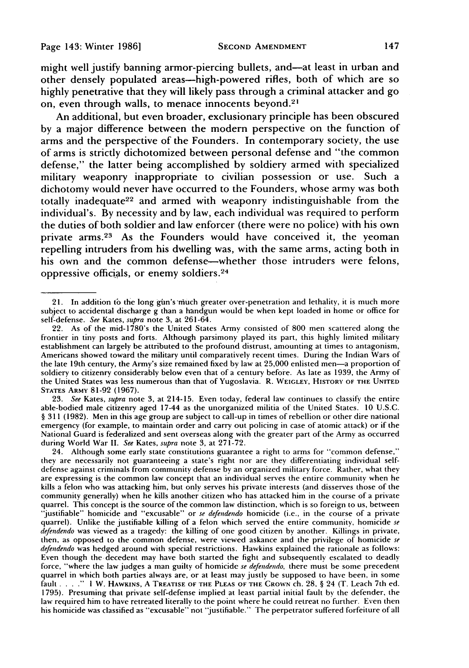might well justify banning armor-piercing bullets, and—at least in urban and other densely populated areas-high-powered rifles, both of which are so highly penetrative that they will likely pass through a criminal attacker and go on, even through walls, to menace innocents beyond.<sup>21</sup>

An additional, but even broader, exclusionary principle has been obscured by a major difference between the modern perspective on the function of arms and the perspective of the Founders. In contemporary society, the use of arms is strictly dichotomized between personal defense and "the common defense," the latter being accomplished by soldiery armed with specialized military weaponry inappropriate to civilian possession or use. Such a dichotomy would never have occurred to the Founders, whose army was both totally inadequate<sup>22</sup> and armed with weaponry indistinguishable from the individual's. By necessity and by law, each individual was required to perform the duties of both soldier and law enforcer (there were no police) with his own private arms. 23 As the Founders would have conceived it, the yeoman repelling intruders from his dwelling was, with the same arms, acting both in his own and the common defense—whether those intruders were felons, oppressive officials, or enemy soldiers. <sup>24</sup>

**23.** *See* Kates, *supra* note **3,** at 214-15. Even today, federal law continues to classify the entire able-bodied male citizenry aged 17-44 as the unorganized militia of the United States. **10 U.S.C.** § **311 (1982).** Men in this age group are subject to call-up in times of rebellion or other dire national emergency (for example, to maintain order and carry out policing in case of atomic attack) or if the National Guard is federalized and sent overseas along with the greater part of the Army as occurred during World War II. *See* Kates, *supra* note 3, at **271-72.**

24. Although some early state constitutions guarantee a right to arms for "common defense," they are necessarily not guaranteeing a state's right nor are they differentiating individual selfdefense against criminals from community defense by an organized military force. Rather, what they are expressing is the common law concept that an individual serves the entire community when he kills a felon who was attacking him, but only serves his private interests (and disserves those of the community generally) when he kills another citizen who has attacked him in the course of a private quarrel. This concept is the source of the common law distinction, which is so foreign to us, between "justifiable" homicide and "excusable" or *se defendendo* homicide (i.e., in the course of a private quarrel). Unlike the justifiable killing of a felon which served the entire community, homicide *se* defendendo was viewed as a tragedy: the killing of one good citizen by another. Killings in private, then, as opposed to the common defense, were viewed askance and the privilege of homicide se *defendendo* was hedged around with special restrictions. Hawkins explained the rationale as follows: Even though the decedent may have both started the fight and subsequently escalated to deadly force, "where the law judges a man guilty of homicide se defendendo, there must be some precedent quarrel in which both parties always are, or at least may justly be supposed to have been, in some fault .... **." I** W. **HAWKINS, A TREATISE OF THE PLEAS OF THE CROWN** ch. **28,** § 24 (T. Leach 7th ed. **1795).** Presuming that private self-defense implied at least partial initial fault by the defender, the law required him to have retreated literally to the point where he could retreat no further. Even then his homicide was classified as "excusable" not "justifiable." The perpetrator suffered forfeiture of all

<sup>21.</sup> In addition to the long gin's much greater over-penetration and lethality, it is much more subject to accidental discharge g than a handgun would be when kept loaded in home or office for self-defense. *See* Kates, *supra* note **3,** at 261-64.

<sup>22.</sup> As of the mid-1780's the United States Army consisted of 800 men scattered along the frontier in tiny posts and forts. Although parsimony played its part, this highly limited military establishment can largely be attributed to the profound distrust, amounting at times to antagonism, Americans showed toward the military until comparatively recent times. During the Indian Wars of the late 19th century, the Army's size remained fixed by law at 25,000 enlisted men-a proportion of soldiery to citizenry considerably below even that of a century before. As late as 1939, the Army of the United States was less numerous than that of Yugoslavia. R. WEIGLEY, HISTORY OF **THE** UNITED **STATES ARMY 81-92 (1967).**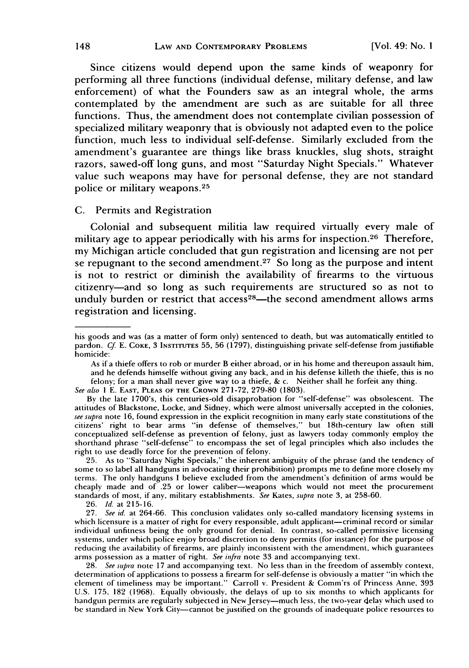Since citizens would depend upon the same kinds of weaponry for performing all three functions (individual defense, military defense, and law enforcement) of what the Founders saw as an integral whole, the arms contemplated **by** the amendment are such as are suitable for all three functions. Thus, the amendment does not contemplate civilian possession of specialized military weaponry that is obviously not adapted even to the police function, much less to individual self-defense. Similarly excluded from the amendment's guarantee are things like brass knuckles, slug shots, straight razors, sawed-off long guns, and most "Saturday Night Specials." Whatever value such weapons may have for personal defense, they are not standard police or military weapons.<sup>25</sup>

# **C.** Permits and Registration

Colonial and subsequent militia law required virtually every male of military age to appear periodically with his arms for inspection.<sup>26</sup> Therefore, my Michigan article concluded that gun registration and licensing are not per se repugnant to the second amendment.<sup>27</sup> So long as the purpose and intent is not to restrict or diminish the availability of firearms to the virtuous citizenry-and so long as such requirements are structured so as not to unduly burden or restrict that access<sup>28</sup>—the second amendment allows arms registration and licensing.

25. As to "Saturday Night Specials," the inherent ambiguity of the phrase (and the tendency of some to so label all handguns in advocating their prohibition) prompts me to define more closely my terms. The only handguns I believe excluded from the amendment's definition of arms would be cheaply made and of .25 or lower caliber-weapons which would not meet the procurement standards of most, if any, military establishments. *See* Kates, *supra* note 3, at 258-60.

26. *1d.* at 215-16.

27. *See id.* at 264-66. This conclusion validates only so-called mandatory licensing systems in which licensure is a matter of right for every responsible, adult applicant-criminal record or similar individual unfitness being the only ground for denial. In contrast, so-called permissive licensing systems, under which police enjoy broad discretion to deny permits (for instance) for the purpose of reducing the availability of firearms, are plainly inconsistent with the amendment, which guarantees arms possession as a matter of right. *See infra* note 33 and accompanying text.

28. *See sipra* note 17 and accompanying text. No less than in the freedom of assembly context, determination of applications to possess a firearm for self-defense is obviously a matter "in which the element of timeliness may be important." Carroll v. President & Comm'rs of Princess Anne, 393 U.S. 175, 182 (1968). Equally obviously, the delays of up to six months to which applicants for handgun permits are regularly subjected in New Jersey--much less, the two-year delay which used to be standard in New York City-cannot be justified on the grounds of inadequate police resources to

his goods and was (as a matter of form only) sentenced to death, but was automatically entitled to pardon. *Cf* E. COKE, 3 INSTITUTES **55,** 56 (1797), distinguishing private self-defense from justifiable homicide:

As if a thiefe offers to rob or murder B either abroad, or in his home and thereupon assault him, and he defends himselfe without giving any back, and in his defense killeth the thiefe, this is no felony; for a man shall never give way to a thiefe, & c. Neither shall he forfeit any thing.

*See also* I E. **EAST, PLEAS OF** THE CROWN 271-72, 279-80 (1803).

By the late 1700's, this centuries-old disapprobation for "self-defense" was obsolescent. The attitudes of Blackstone, Locke, and Sidney, which were almost universally accepted in the colonies, *see supra* note 16, found expression in the explicit recognition in many early state constitutions of the citizens' right to bear arms "in defense of themselves," but 18th-century law often still conceptualized self-defense as prevention of felony, just as lawyers today commonly employ the shorthand phrase "self-defense" to encompass the set of legal principles which also includes the right to use deadly force for the prevention of felony.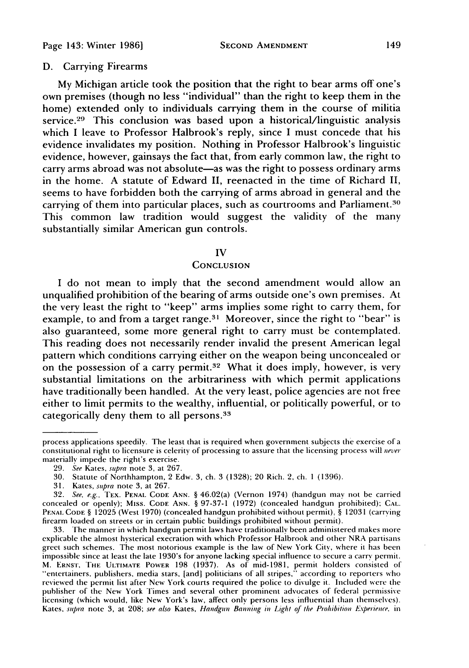# **D.** Carrying Firearms

**My** Michigan article took the position that the right to bear arms off one's own premises (though no less "individual" than the right to keep them in the home) extended only to individuals carrying them in the course of militia service.<sup>29</sup> This conclusion was based upon a historical/linguistic analysis which **I** leave to Professor Halbrook's reply, since **I** must concede that his evidence invalidates my position. Nothing in Professor Halbrook's linguistic evidence, however, gainsays the fact that, from early common law, the right to carry arms abroad was not absolute—as was the right to possess ordinary arms in the home. **A** statute of Edward II, reenacted in the time of Richard II, seems to have forbidden both the carrying of arms abroad in general and the carrying of them into particular places, such as courtrooms and Parliament.<sup>30</sup> This common law tradition would suggest the validity of the many substantially similar American gun controls.

## IV

## **CONCLUSION**

**I** do not mean to imply that the second amendment would allow an unqualified prohibition of the bearing of arms outside one's own premises. At the very least the right to "keep" arms implies some right to carry them, for example, to and from a target range.3' Moreover, since the right to "bear" **is** also guaranteed, some more general right to carry must be contemplated. This reading does not necessarily render invalid the present American legal pattern which conditions carrying either on the weapon being unconcealed or on the possession of a carry permit.<sup>32</sup> What it does imply, however, is very substantial limitations on the arbitrariness with which permit applications have traditionally been handled. At the very least, police agencies are not free either to limit permits to the wealthy, influential, or politically powerful, or to categorically deny them to all persons.33

process applications speedily. The least that is required when government subjects the exercise of a constitutional right to licensure is celerity of processing to assure that the licensing process will *never* materially impede the right's exercise.

**<sup>29.</sup>** See Kates, supra note **3,** at **267.**

**<sup>30.</sup>** Statute of Northhampton, 2 Edw. **3,** ch. 3 **(1328);** 20 Rich. 2, ch. **1 (1396).**

**<sup>31.</sup>** Kates, supra note **3,** at **267.**

**<sup>32.</sup>** See, e.g., TEX. **PENAL CODE ANN.** § 46.02(a) (Vernon 1974) (handgun **may not** be carried concealed or openly); **MIss. CODE ANN.** § **97-37-1 (1972)** (concealed handgun prohibited); **CAL. PENAL CODE** § **12025** (West **1970)** (concealed handgun prohibited without permit), § **12031** (carrying firearm loaded on streets or in certain public buildings prohibited without permit).

**<sup>33.</sup> The** manner in which handgun permit laws have traditionally been administered makes more explicable the almost hysterical execration with which Professor Halbrook and other NRA partisans greet such schemes. The most notorious example is the law of New York City, where it has been impossible since at least the late 1930's for anyone lacking special influence to secure a carry permit. M. ERNST, THE **ULTIMATE POWER 198 (1937).** As of mid-1981, permit holders consisted of "'entertainers, publishers, media stars, [and] politicians of all stripes," according to reporters who reviewed the permit list after New York courts required the police to divulge it. Included were the publisher of the New York Times and several other prominent advocates of federal permissive licensing (which would, like New York's law, affect only persons less influential than themselves). Kates, supra **note 3,** at **208;** see also Kates, Handgun Banning in Lighl of the Prohibition Experience, **in**